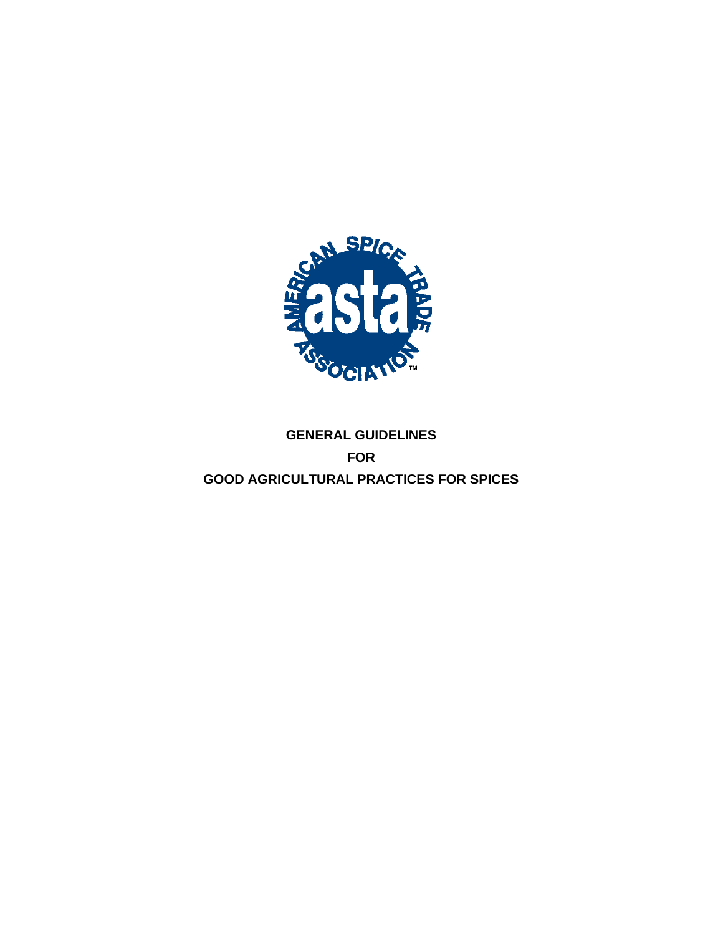

## **GENERAL GUIDELINES FOR GOOD AGRICULTURAL PRACTICES FOR SPICES**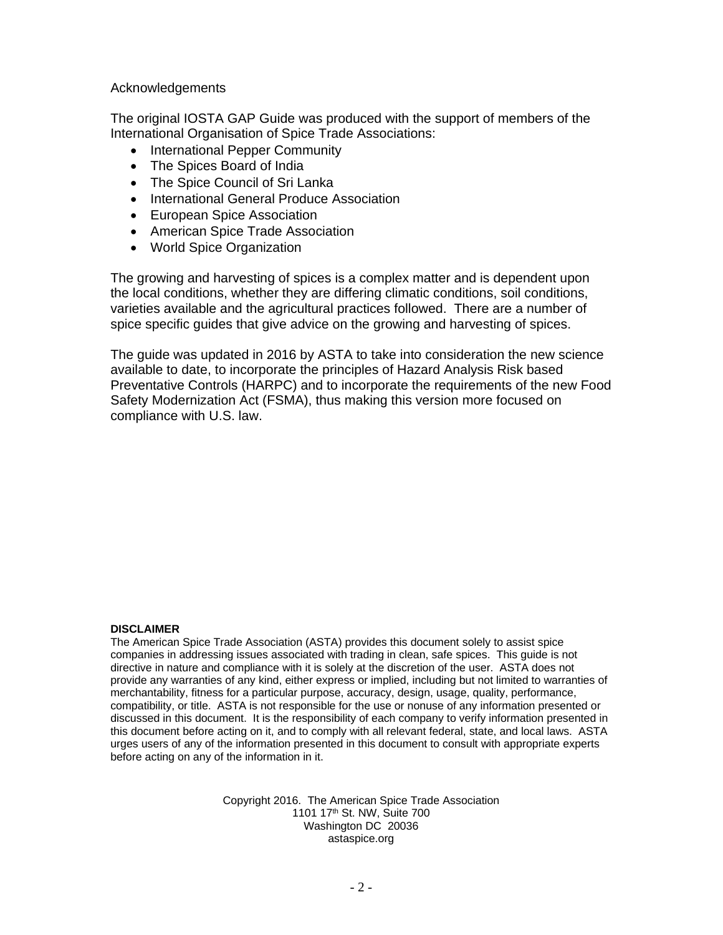Acknowledgements

The original IOSTA GAP Guide was produced with the support of members of the International Organisation of Spice Trade Associations:

- International Pepper Community
- The Spices Board of India
- The Spice Council of Sri Lanka
- International General Produce Association
- European Spice Association
- American Spice Trade Association
- World Spice Organization

The growing and harvesting of spices is a complex matter and is dependent upon the local conditions, whether they are differing climatic conditions, soil conditions, varieties available and the agricultural practices followed. There are a number of spice specific guides that give advice on the growing and harvesting of spices.

The guide was updated in 2016 by ASTA to take into consideration the new science available to date, to incorporate the principles of Hazard Analysis Risk based Preventative Controls (HARPC) and to incorporate the requirements of the new Food Safety Modernization Act (FSMA), thus making this version more focused on compliance with U.S. law.

#### **DISCLAIMER**

The American Spice Trade Association (ASTA) provides this document solely to assist spice companies in addressing issues associated with trading in clean, safe spices. This guide is not directive in nature and compliance with it is solely at the discretion of the user. ASTA does not provide any warranties of any kind, either express or implied, including but not limited to warranties of merchantability, fitness for a particular purpose, accuracy, design, usage, quality, performance, compatibility, or title. ASTA is not responsible for the use or nonuse of any information presented or discussed in this document. It is the responsibility of each company to verify information presented in this document before acting on it, and to comply with all relevant federal, state, and local laws. ASTA urges users of any of the information presented in this document to consult with appropriate experts before acting on any of the information in it.

> Copyright 2016. The American Spice Trade Association 1101 17th St. NW, Suite 700 Washington DC 20036 astaspice.org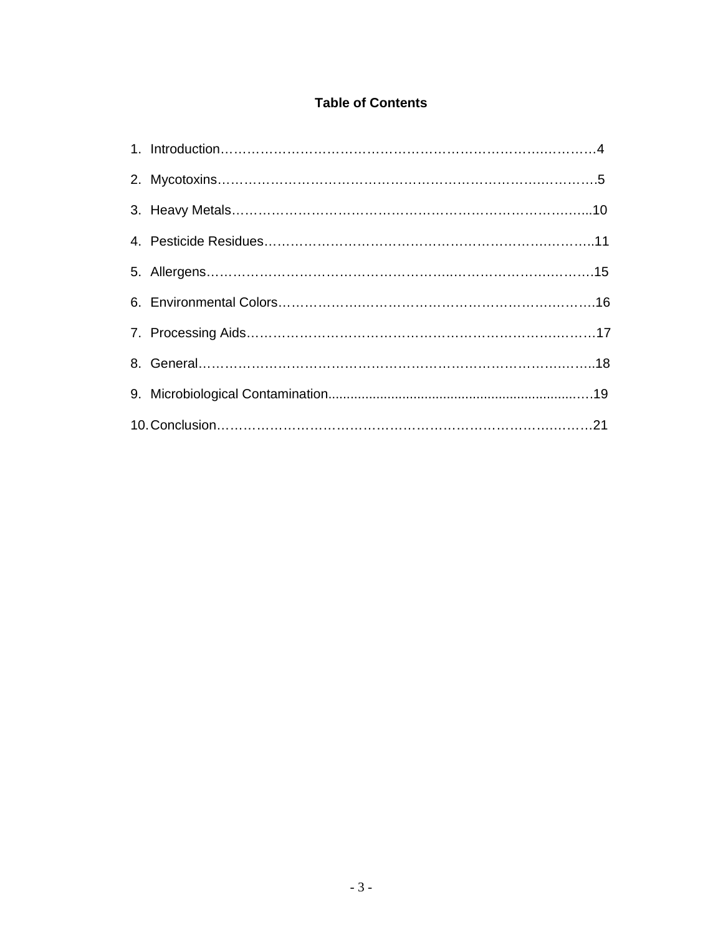## **Table of Contents**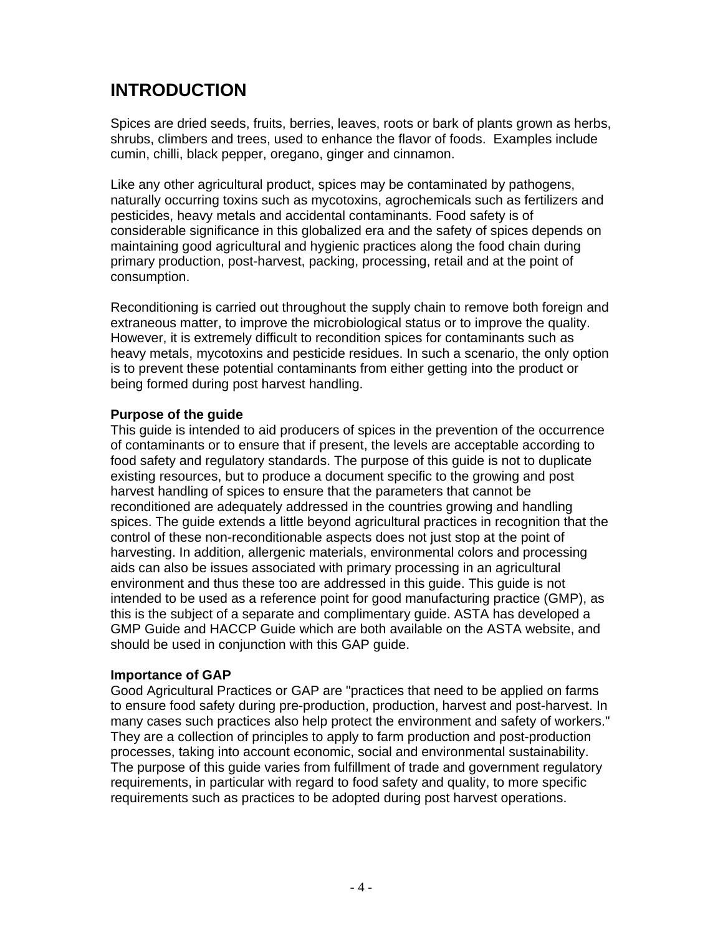## **INTRODUCTION**

Spices are dried seeds, fruits, berries, leaves, roots or bark of plants grown as herbs, shrubs, climbers and trees, used to enhance the flavor of foods. Examples include cumin, chilli, black pepper, oregano, ginger and cinnamon.

Like any other agricultural product, spices may be contaminated by pathogens, naturally occurring toxins such as mycotoxins, agrochemicals such as fertilizers and pesticides, heavy metals and accidental contaminants. Food safety is of considerable significance in this globalized era and the safety of spices depends on maintaining good agricultural and hygienic practices along the food chain during primary production, post-harvest, packing, processing, retail and at the point of consumption.

Reconditioning is carried out throughout the supply chain to remove both foreign and extraneous matter, to improve the microbiological status or to improve the quality. However, it is extremely difficult to recondition spices for contaminants such as heavy metals, mycotoxins and pesticide residues. In such a scenario, the only option is to prevent these potential contaminants from either getting into the product or being formed during post harvest handling.

### **Purpose of the guide**

This guide is intended to aid producers of spices in the prevention of the occurrence of contaminants or to ensure that if present, the levels are acceptable according to food safety and regulatory standards. The purpose of this guide is not to duplicate existing resources, but to produce a document specific to the growing and post harvest handling of spices to ensure that the parameters that cannot be reconditioned are adequately addressed in the countries growing and handling spices. The guide extends a little beyond agricultural practices in recognition that the control of these non-reconditionable aspects does not just stop at the point of harvesting. In addition, allergenic materials, environmental colors and processing aids can also be issues associated with primary processing in an agricultural environment and thus these too are addressed in this guide. This guide is not intended to be used as a reference point for good manufacturing practice (GMP), as this is the subject of a separate and complimentary guide. ASTA has developed a GMP Guide and HACCP Guide which are both available on the ASTA website, and should be used in conjunction with this GAP guide.

### **Importance of GAP**

Good Agricultural Practices or GAP are "practices that need to be applied on farms to ensure food safety during pre-production, production, harvest and post-harvest. In many cases such practices also help protect the environment and safety of workers." They are a collection of principles to apply to farm production and post-production processes, taking into account economic, social and environmental sustainability. The purpose of this guide varies from fulfillment of trade and government regulatory requirements, in particular with regard to food safety and quality, to more specific requirements such as practices to be adopted during post harvest operations.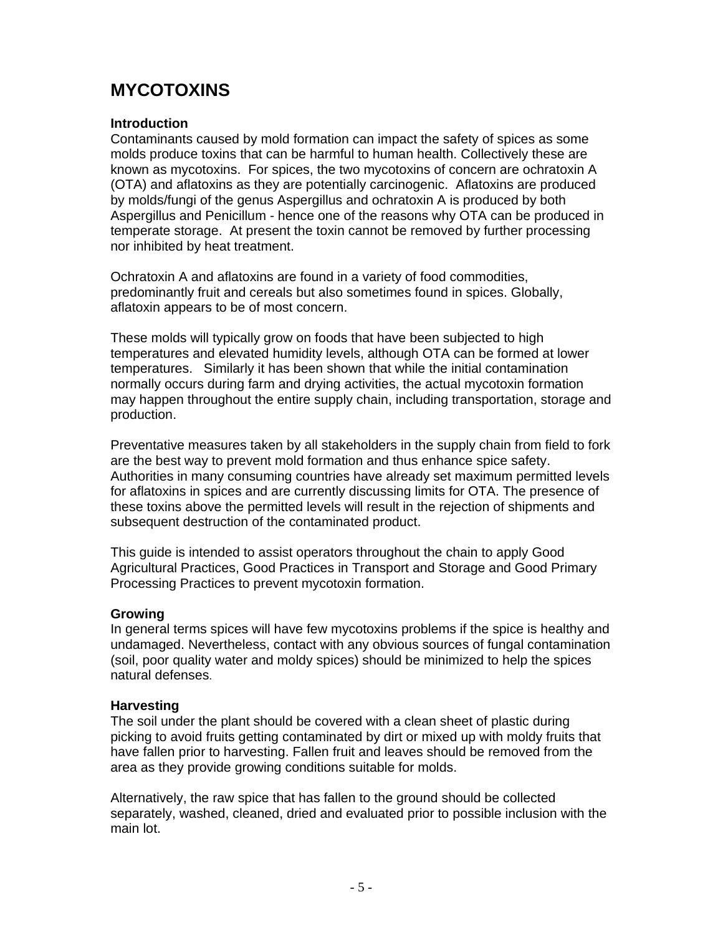# **MYCOTOXINS**

### **Introduction**

Contaminants caused by mold formation can impact the safety of spices as some molds produce toxins that can be harmful to human health. Collectively these are known as mycotoxins. For spices, the two mycotoxins of concern are ochratoxin A (OTA) and aflatoxins as they are potentially carcinogenic. Aflatoxins are produced by molds/fungi of the genus Aspergillus and ochratoxin A is produced by both Aspergillus and Penicillum - hence one of the reasons why OTA can be produced in temperate storage. At present the toxin cannot be removed by further processing nor inhibited by heat treatment.

Ochratoxin A and aflatoxins are found in a variety of food commodities, predominantly fruit and cereals but also sometimes found in spices. Globally, aflatoxin appears to be of most concern.

These molds will typically grow on foods that have been subjected to high temperatures and elevated humidity levels, although OTA can be formed at lower temperatures. Similarly it has been shown that while the initial contamination normally occurs during farm and drying activities, the actual mycotoxin formation may happen throughout the entire supply chain, including transportation, storage and production.

Preventative measures taken by all stakeholders in the supply chain from field to fork are the best way to prevent mold formation and thus enhance spice safety. Authorities in many consuming countries have already set maximum permitted levels for aflatoxins in spices and are currently discussing limits for OTA. The presence of these toxins above the permitted levels will result in the rejection of shipments and subsequent destruction of the contaminated product.

This guide is intended to assist operators throughout the chain to apply Good Agricultural Practices, Good Practices in Transport and Storage and Good Primary Processing Practices to prevent mycotoxin formation.

### **Growing**

In general terms spices will have few mycotoxins problems if the spice is healthy and undamaged. Nevertheless, contact with any obvious sources of fungal contamination (soil, poor quality water and moldy spices) should be minimized to help the spices natural defenses.

#### **Harvesting**

The soil under the plant should be covered with a clean sheet of plastic during picking to avoid fruits getting contaminated by dirt or mixed up with moldy fruits that have fallen prior to harvesting. Fallen fruit and leaves should be removed from the area as they provide growing conditions suitable for molds.

Alternatively, the raw spice that has fallen to the ground should be collected separately, washed, cleaned, dried and evaluated prior to possible inclusion with the main lot.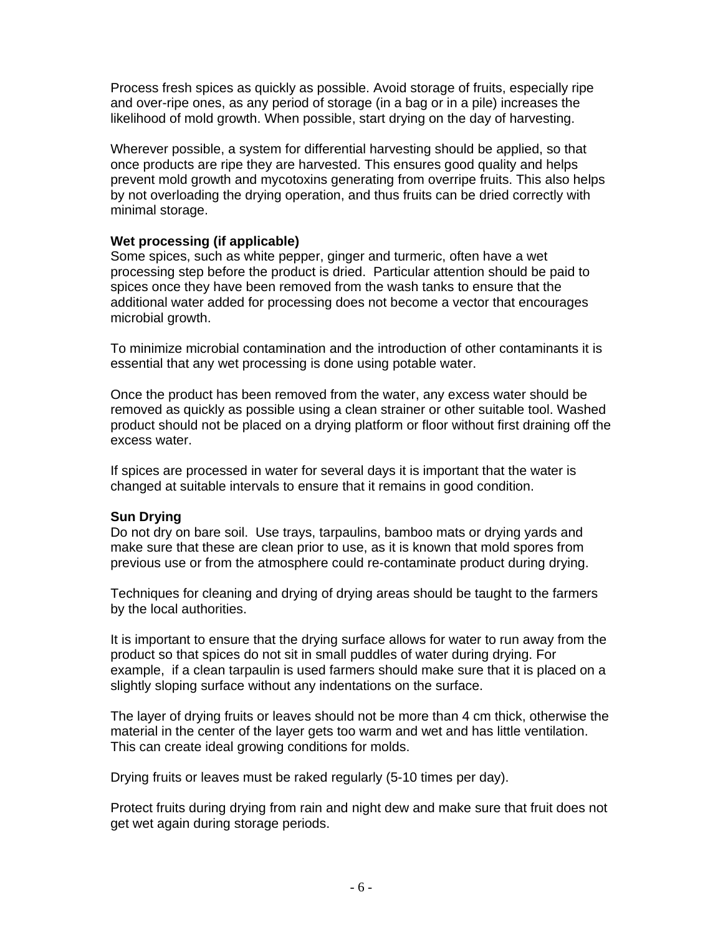Process fresh spices as quickly as possible. Avoid storage of fruits, especially ripe and over-ripe ones, as any period of storage (in a bag or in a pile) increases the likelihood of mold growth. When possible, start drying on the day of harvesting.

Wherever possible, a system for differential harvesting should be applied, so that once products are ripe they are harvested. This ensures good quality and helps prevent mold growth and mycotoxins generating from overripe fruits. This also helps by not overloading the drying operation, and thus fruits can be dried correctly with minimal storage.

### **Wet processing (if applicable)**

Some spices, such as white pepper, ginger and turmeric, often have a wet processing step before the product is dried. Particular attention should be paid to spices once they have been removed from the wash tanks to ensure that the additional water added for processing does not become a vector that encourages microbial growth.

To minimize microbial contamination and the introduction of other contaminants it is essential that any wet processing is done using potable water.

Once the product has been removed from the water, any excess water should be removed as quickly as possible using a clean strainer or other suitable tool. Washed product should not be placed on a drying platform or floor without first draining off the excess water.

If spices are processed in water for several days it is important that the water is changed at suitable intervals to ensure that it remains in good condition.

### **Sun Drying**

Do not dry on bare soil. Use trays, tarpaulins, bamboo mats or drying yards and make sure that these are clean prior to use, as it is known that mold spores from previous use or from the atmosphere could re-contaminate product during drying.

Techniques for cleaning and drying of drying areas should be taught to the farmers by the local authorities.

It is important to ensure that the drying surface allows for water to run away from the product so that spices do not sit in small puddles of water during drying. For example, if a clean tarpaulin is used farmers should make sure that it is placed on a slightly sloping surface without any indentations on the surface.

The layer of drying fruits or leaves should not be more than 4 cm thick, otherwise the material in the center of the layer gets too warm and wet and has little ventilation. This can create ideal growing conditions for molds.

Drying fruits or leaves must be raked regularly (5-10 times per day).

Protect fruits during drying from rain and night dew and make sure that fruit does not get wet again during storage periods.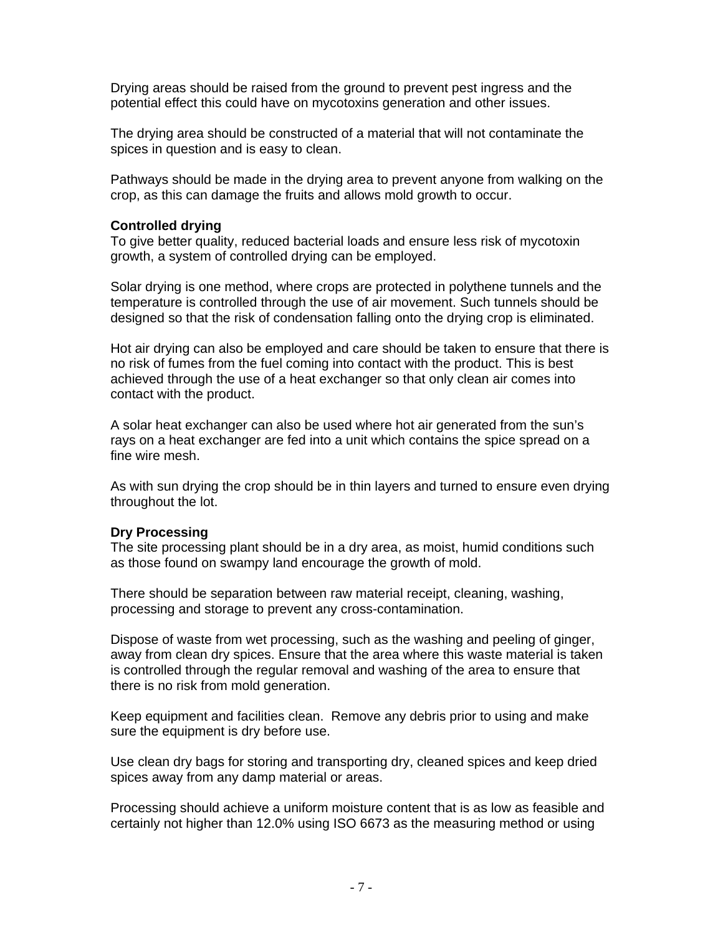Drying areas should be raised from the ground to prevent pest ingress and the potential effect this could have on mycotoxins generation and other issues.

The drying area should be constructed of a material that will not contaminate the spices in question and is easy to clean.

Pathways should be made in the drying area to prevent anyone from walking on the crop, as this can damage the fruits and allows mold growth to occur.

### **Controlled drying**

To give better quality, reduced bacterial loads and ensure less risk of mycotoxin growth, a system of controlled drying can be employed.

Solar drying is one method, where crops are protected in polythene tunnels and the temperature is controlled through the use of air movement. Such tunnels should be designed so that the risk of condensation falling onto the drying crop is eliminated.

Hot air drying can also be employed and care should be taken to ensure that there is no risk of fumes from the fuel coming into contact with the product. This is best achieved through the use of a heat exchanger so that only clean air comes into contact with the product.

A solar heat exchanger can also be used where hot air generated from the sun's rays on a heat exchanger are fed into a unit which contains the spice spread on a fine wire mesh.

As with sun drying the crop should be in thin layers and turned to ensure even drying throughout the lot.

### **Dry Processing**

The site processing plant should be in a dry area, as moist, humid conditions such as those found on swampy land encourage the growth of mold.

There should be separation between raw material receipt, cleaning, washing, processing and storage to prevent any cross-contamination.

Dispose of waste from wet processing, such as the washing and peeling of ginger, away from clean dry spices. Ensure that the area where this waste material is taken is controlled through the regular removal and washing of the area to ensure that there is no risk from mold generation.

Keep equipment and facilities clean. Remove any debris prior to using and make sure the equipment is dry before use.

Use clean dry bags for storing and transporting dry, cleaned spices and keep dried spices away from any damp material or areas.

Processing should achieve a uniform moisture content that is as low as feasible and certainly not higher than 12.0% using ISO 6673 as the measuring method or using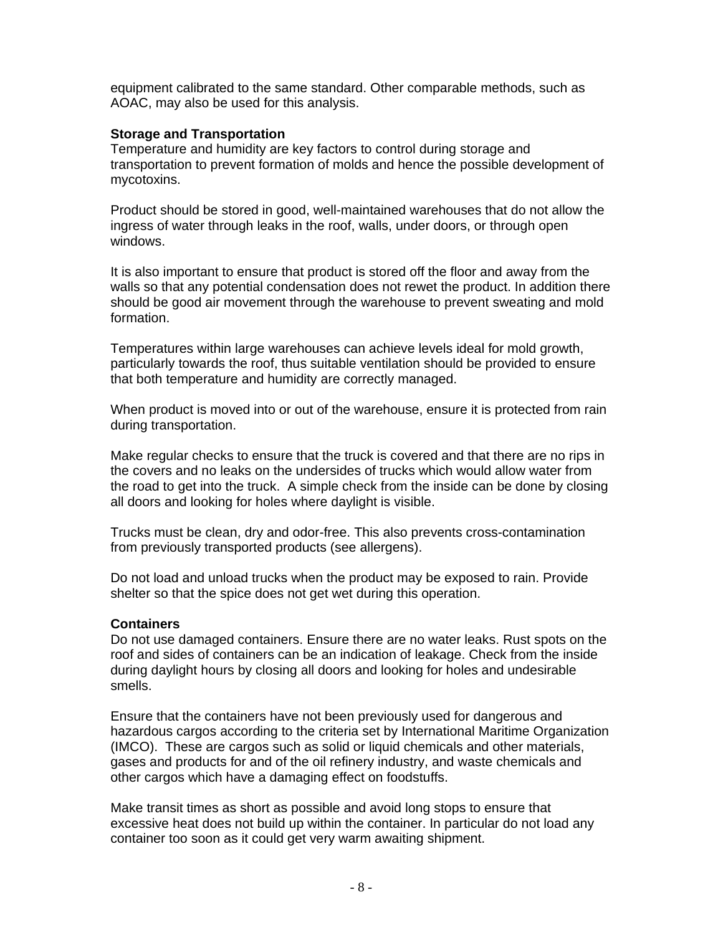equipment calibrated to the same standard. Other comparable methods, such as AOAC, may also be used for this analysis.

### **Storage and Transportation**

Temperature and humidity are key factors to control during storage and transportation to prevent formation of molds and hence the possible development of mycotoxins.

Product should be stored in good, well-maintained warehouses that do not allow the ingress of water through leaks in the roof, walls, under doors, or through open windows.

It is also important to ensure that product is stored off the floor and away from the walls so that any potential condensation does not rewet the product. In addition there should be good air movement through the warehouse to prevent sweating and mold formation.

Temperatures within large warehouses can achieve levels ideal for mold growth, particularly towards the roof, thus suitable ventilation should be provided to ensure that both temperature and humidity are correctly managed.

When product is moved into or out of the warehouse, ensure it is protected from rain during transportation.

Make regular checks to ensure that the truck is covered and that there are no rips in the covers and no leaks on the undersides of trucks which would allow water from the road to get into the truck. A simple check from the inside can be done by closing all doors and looking for holes where daylight is visible.

Trucks must be clean, dry and odor-free. This also prevents cross-contamination from previously transported products (see allergens).

Do not load and unload trucks when the product may be exposed to rain. Provide shelter so that the spice does not get wet during this operation.

### **Containers**

Do not use damaged containers. Ensure there are no water leaks. Rust spots on the roof and sides of containers can be an indication of leakage. Check from the inside during daylight hours by closing all doors and looking for holes and undesirable smells.

Ensure that the containers have not been previously used for dangerous and hazardous cargos according to the criteria set by International Maritime Organization (IMCO). These are cargos such as solid or liquid chemicals and other materials, gases and products for and of the oil refinery industry, and waste chemicals and other cargos which have a damaging effect on foodstuffs.

Make transit times as short as possible and avoid long stops to ensure that excessive heat does not build up within the container. In particular do not load any container too soon as it could get very warm awaiting shipment.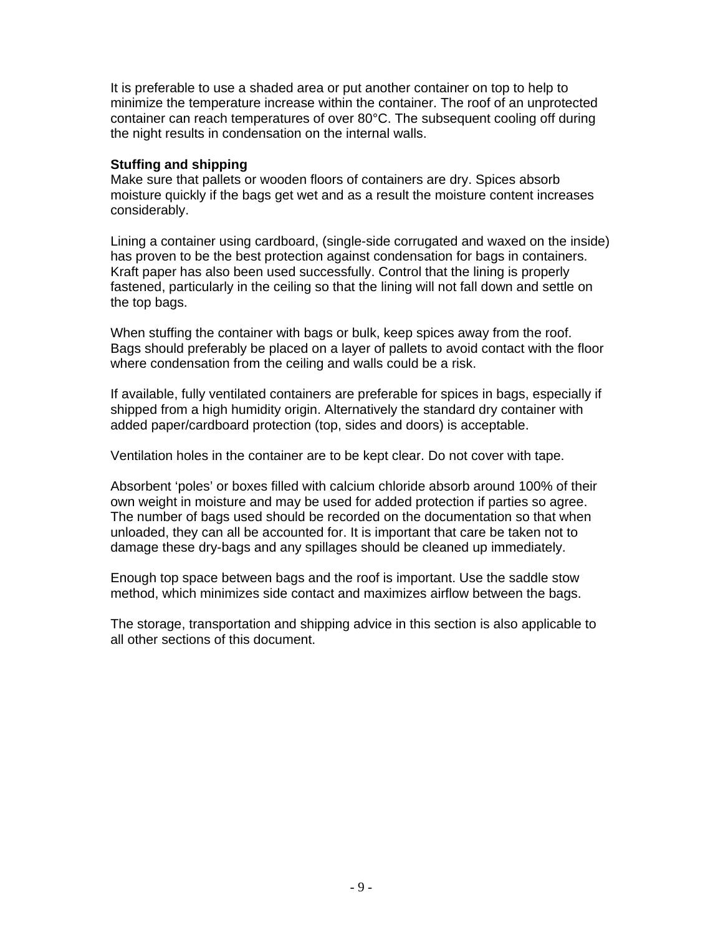It is preferable to use a shaded area or put another container on top to help to minimize the temperature increase within the container. The roof of an unprotected container can reach temperatures of over 80°C. The subsequent cooling off during the night results in condensation on the internal walls.

### **Stuffing and shipping**

Make sure that pallets or wooden floors of containers are dry. Spices absorb moisture quickly if the bags get wet and as a result the moisture content increases considerably.

Lining a container using cardboard, (single-side corrugated and waxed on the inside) has proven to be the best protection against condensation for bags in containers. Kraft paper has also been used successfully. Control that the lining is properly fastened, particularly in the ceiling so that the lining will not fall down and settle on the top bags.

When stuffing the container with bags or bulk, keep spices away from the roof. Bags should preferably be placed on a layer of pallets to avoid contact with the floor where condensation from the ceiling and walls could be a risk.

If available, fully ventilated containers are preferable for spices in bags, especially if shipped from a high humidity origin. Alternatively the standard dry container with added paper/cardboard protection (top, sides and doors) is acceptable.

Ventilation holes in the container are to be kept clear. Do not cover with tape.

Absorbent 'poles' or boxes filled with calcium chloride absorb around 100% of their own weight in moisture and may be used for added protection if parties so agree. The number of bags used should be recorded on the documentation so that when unloaded, they can all be accounted for. It is important that care be taken not to damage these dry-bags and any spillages should be cleaned up immediately.

Enough top space between bags and the roof is important. Use the saddle stow method, which minimizes side contact and maximizes airflow between the bags.

The storage, transportation and shipping advice in this section is also applicable to all other sections of this document.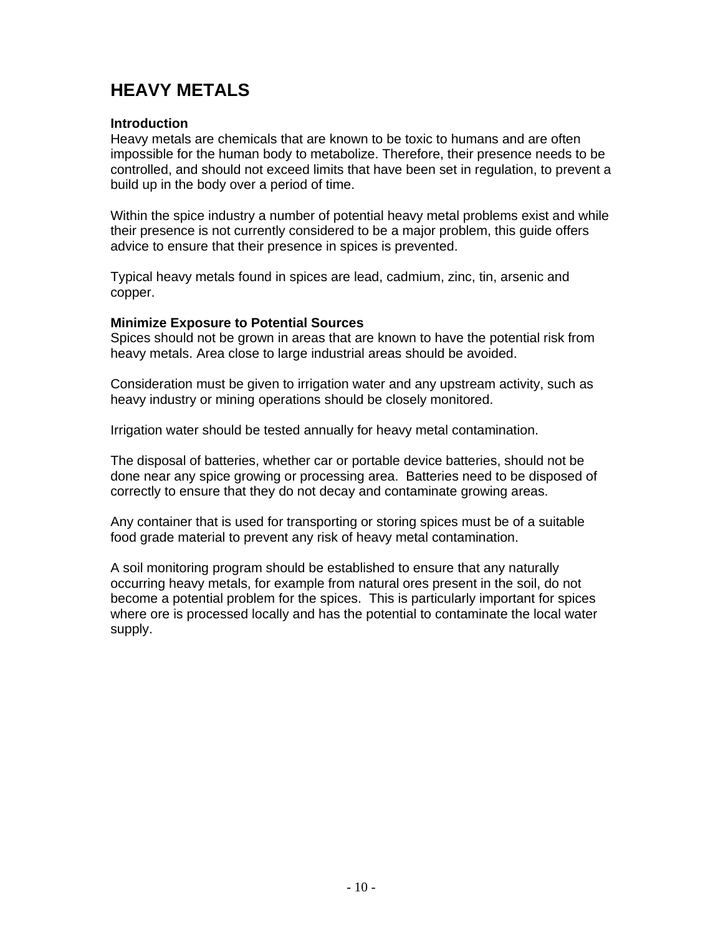# **HEAVY METALS**

### **Introduction**

Heavy metals are chemicals that are known to be toxic to humans and are often impossible for the human body to metabolize. Therefore, their presence needs to be controlled, and should not exceed limits that have been set in regulation, to prevent a build up in the body over a period of time.

Within the spice industry a number of potential heavy metal problems exist and while their presence is not currently considered to be a major problem, this guide offers advice to ensure that their presence in spices is prevented.

Typical heavy metals found in spices are lead, cadmium, zinc, tin, arsenic and copper.

#### **Minimize Exposure to Potential Sources**

Spices should not be grown in areas that are known to have the potential risk from heavy metals. Area close to large industrial areas should be avoided.

Consideration must be given to irrigation water and any upstream activity, such as heavy industry or mining operations should be closely monitored.

Irrigation water should be tested annually for heavy metal contamination.

The disposal of batteries, whether car or portable device batteries, should not be done near any spice growing or processing area. Batteries need to be disposed of correctly to ensure that they do not decay and contaminate growing areas.

Any container that is used for transporting or storing spices must be of a suitable food grade material to prevent any risk of heavy metal contamination.

A soil monitoring program should be established to ensure that any naturally occurring heavy metals, for example from natural ores present in the soil, do not become a potential problem for the spices. This is particularly important for spices where ore is processed locally and has the potential to contaminate the local water supply.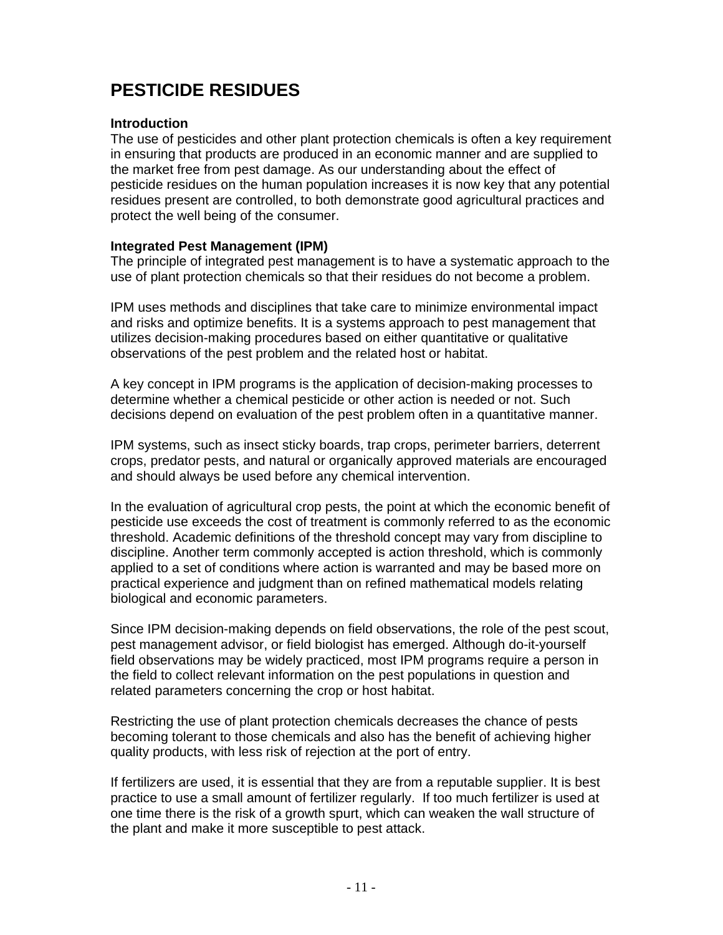# **PESTICIDE RESIDUES**

### **Introduction**

The use of pesticides and other plant protection chemicals is often a key requirement in ensuring that products are produced in an economic manner and are supplied to the market free from pest damage. As our understanding about the effect of pesticide residues on the human population increases it is now key that any potential residues present are controlled, to both demonstrate good agricultural practices and protect the well being of the consumer.

### **Integrated Pest Management (IPM)**

The principle of integrated pest management is to have a systematic approach to the use of plant protection chemicals so that their residues do not become a problem.

IPM uses methods and disciplines that take care to minimize environmental impact and risks and optimize benefits. It is a systems approach to pest management that utilizes decision-making procedures based on either quantitative or qualitative observations of the pest problem and the related host or habitat.

A key concept in IPM programs is the application of decision-making processes to determine whether a chemical pesticide or other action is needed or not. Such decisions depend on evaluation of the pest problem often in a quantitative manner.

IPM systems, such as insect sticky boards, trap crops, perimeter barriers, deterrent crops, predator pests, and natural or organically approved materials are encouraged and should always be used before any chemical intervention.

In the evaluation of agricultural crop pests, the point at which the economic benefit of pesticide use exceeds the cost of treatment is commonly referred to as the economic threshold. Academic definitions of the threshold concept may vary from discipline to discipline. Another term commonly accepted is action threshold, which is commonly applied to a set of conditions where action is warranted and may be based more on practical experience and judgment than on refined mathematical models relating biological and economic parameters.

Since IPM decision-making depends on field observations, the role of the pest scout, pest management advisor, or field biologist has emerged. Although do-it-yourself field observations may be widely practiced, most IPM programs require a person in the field to collect relevant information on the pest populations in question and related parameters concerning the crop or host habitat.

Restricting the use of plant protection chemicals decreases the chance of pests becoming tolerant to those chemicals and also has the benefit of achieving higher quality products, with less risk of rejection at the port of entry.

If fertilizers are used, it is essential that they are from a reputable supplier. It is best practice to use a small amount of fertilizer regularly. If too much fertilizer is used at one time there is the risk of a growth spurt, which can weaken the wall structure of the plant and make it more susceptible to pest attack.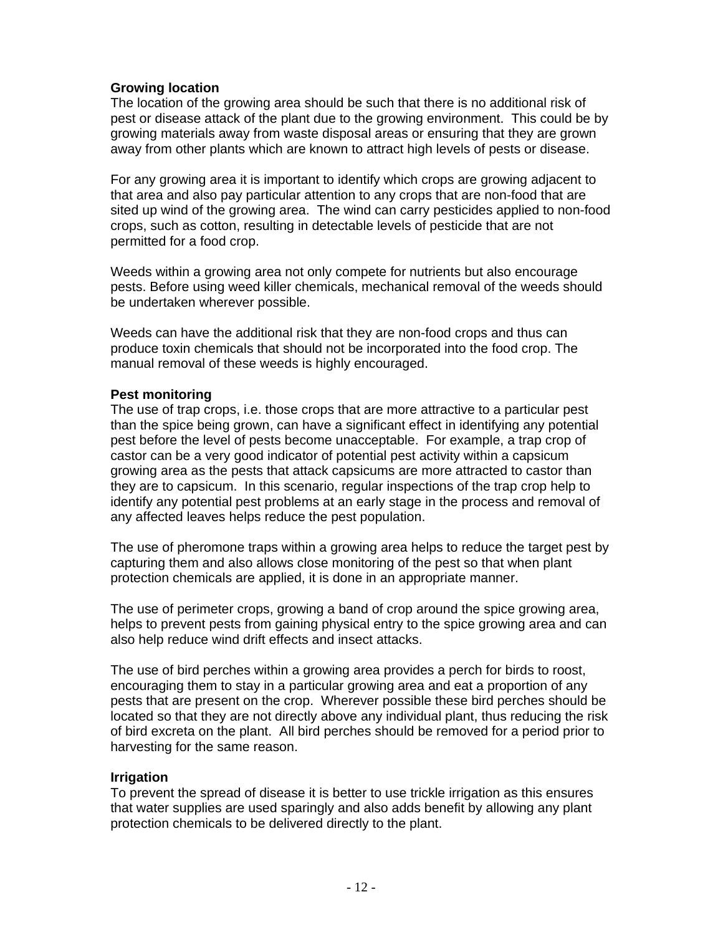### **Growing location**

The location of the growing area should be such that there is no additional risk of pest or disease attack of the plant due to the growing environment. This could be by growing materials away from waste disposal areas or ensuring that they are grown away from other plants which are known to attract high levels of pests or disease.

For any growing area it is important to identify which crops are growing adjacent to that area and also pay particular attention to any crops that are non-food that are sited up wind of the growing area. The wind can carry pesticides applied to non-food crops, such as cotton, resulting in detectable levels of pesticide that are not permitted for a food crop.

Weeds within a growing area not only compete for nutrients but also encourage pests. Before using weed killer chemicals, mechanical removal of the weeds should be undertaken wherever possible.

Weeds can have the additional risk that they are non-food crops and thus can produce toxin chemicals that should not be incorporated into the food crop. The manual removal of these weeds is highly encouraged.

### **Pest monitoring**

The use of trap crops, i.e. those crops that are more attractive to a particular pest than the spice being grown, can have a significant effect in identifying any potential pest before the level of pests become unacceptable. For example, a trap crop of castor can be a very good indicator of potential pest activity within a capsicum growing area as the pests that attack capsicums are more attracted to castor than they are to capsicum. In this scenario, regular inspections of the trap crop help to identify any potential pest problems at an early stage in the process and removal of any affected leaves helps reduce the pest population.

The use of pheromone traps within a growing area helps to reduce the target pest by capturing them and also allows close monitoring of the pest so that when plant protection chemicals are applied, it is done in an appropriate manner.

The use of perimeter crops, growing a band of crop around the spice growing area, helps to prevent pests from gaining physical entry to the spice growing area and can also help reduce wind drift effects and insect attacks.

The use of bird perches within a growing area provides a perch for birds to roost, encouraging them to stay in a particular growing area and eat a proportion of any pests that are present on the crop. Wherever possible these bird perches should be located so that they are not directly above any individual plant, thus reducing the risk of bird excreta on the plant. All bird perches should be removed for a period prior to harvesting for the same reason.

### **Irrigation**

To prevent the spread of disease it is better to use trickle irrigation as this ensures that water supplies are used sparingly and also adds benefit by allowing any plant protection chemicals to be delivered directly to the plant.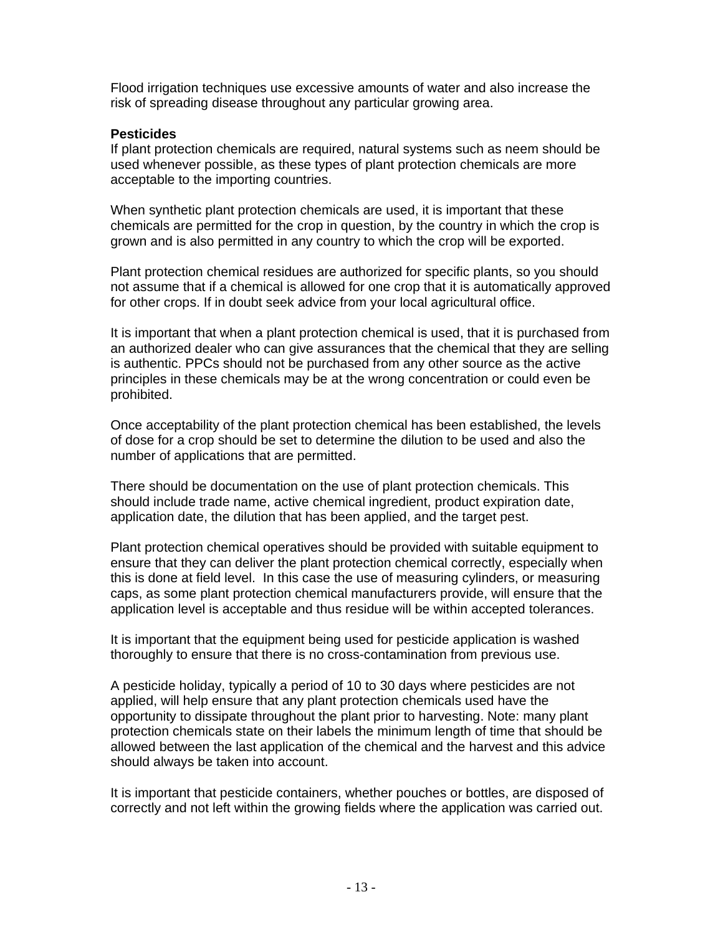Flood irrigation techniques use excessive amounts of water and also increase the risk of spreading disease throughout any particular growing area.

### **Pesticides**

If plant protection chemicals are required, natural systems such as neem should be used whenever possible, as these types of plant protection chemicals are more acceptable to the importing countries.

When synthetic plant protection chemicals are used, it is important that these chemicals are permitted for the crop in question, by the country in which the crop is grown and is also permitted in any country to which the crop will be exported.

Plant protection chemical residues are authorized for specific plants, so you should not assume that if a chemical is allowed for one crop that it is automatically approved for other crops. If in doubt seek advice from your local agricultural office.

It is important that when a plant protection chemical is used, that it is purchased from an authorized dealer who can give assurances that the chemical that they are selling is authentic. PPCs should not be purchased from any other source as the active principles in these chemicals may be at the wrong concentration or could even be prohibited.

Once acceptability of the plant protection chemical has been established, the levels of dose for a crop should be set to determine the dilution to be used and also the number of applications that are permitted.

There should be documentation on the use of plant protection chemicals. This should include trade name, active chemical ingredient, product expiration date, application date, the dilution that has been applied, and the target pest.

Plant protection chemical operatives should be provided with suitable equipment to ensure that they can deliver the plant protection chemical correctly, especially when this is done at field level. In this case the use of measuring cylinders, or measuring caps, as some plant protection chemical manufacturers provide, will ensure that the application level is acceptable and thus residue will be within accepted tolerances.

It is important that the equipment being used for pesticide application is washed thoroughly to ensure that there is no cross-contamination from previous use.

A pesticide holiday, typically a period of 10 to 30 days where pesticides are not applied, will help ensure that any plant protection chemicals used have the opportunity to dissipate throughout the plant prior to harvesting. Note: many plant protection chemicals state on their labels the minimum length of time that should be allowed between the last application of the chemical and the harvest and this advice should always be taken into account.

It is important that pesticide containers, whether pouches or bottles, are disposed of correctly and not left within the growing fields where the application was carried out.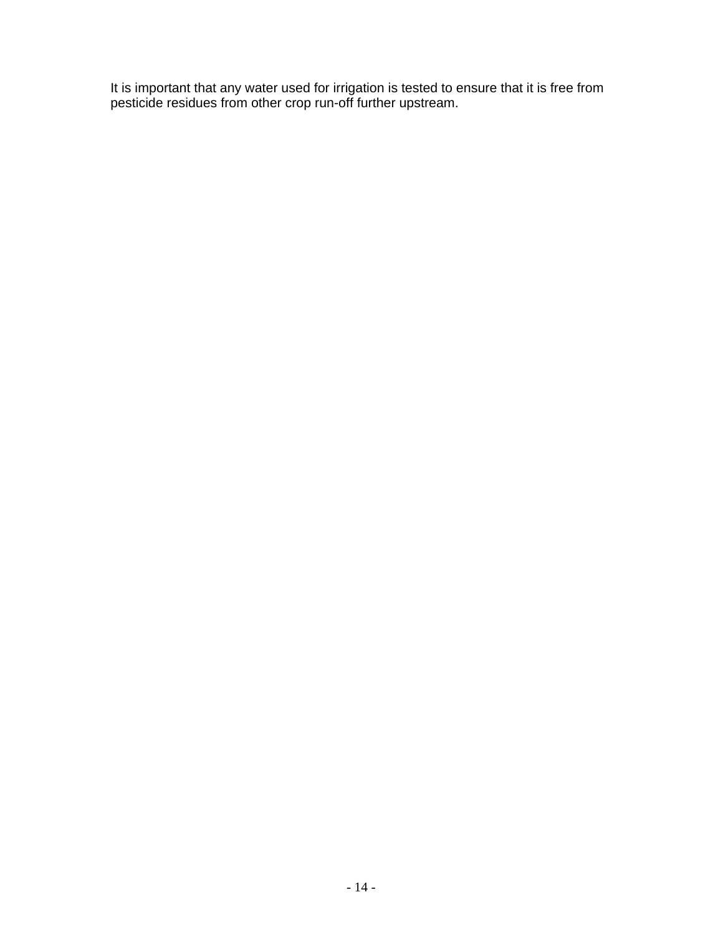It is important that any water used for irrigation is tested to ensure that it is free from pesticide residues from other crop run-off further upstream.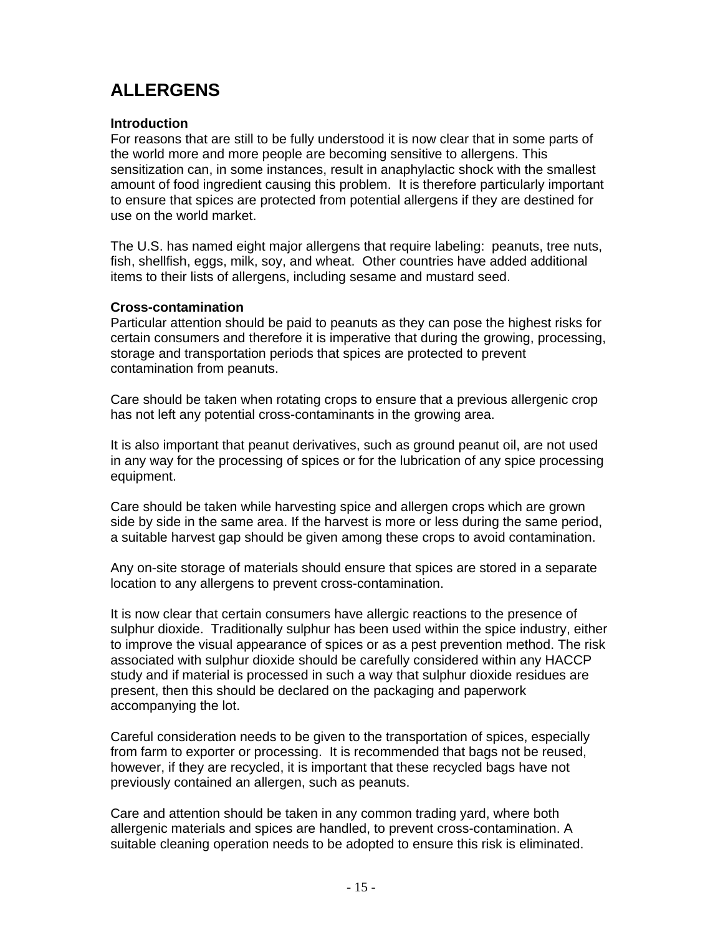# **ALLERGENS**

### **Introduction**

For reasons that are still to be fully understood it is now clear that in some parts of the world more and more people are becoming sensitive to allergens. This sensitization can, in some instances, result in anaphylactic shock with the smallest amount of food ingredient causing this problem. It is therefore particularly important to ensure that spices are protected from potential allergens if they are destined for use on the world market.

The U.S. has named eight major allergens that require labeling: peanuts, tree nuts, fish, shellfish, eggs, milk, soy, and wheat. Other countries have added additional items to their lists of allergens, including sesame and mustard seed.

### **Cross-contamination**

Particular attention should be paid to peanuts as they can pose the highest risks for certain consumers and therefore it is imperative that during the growing, processing, storage and transportation periods that spices are protected to prevent contamination from peanuts.

Care should be taken when rotating crops to ensure that a previous allergenic crop has not left any potential cross-contaminants in the growing area.

It is also important that peanut derivatives, such as ground peanut oil, are not used in any way for the processing of spices or for the lubrication of any spice processing equipment.

Care should be taken while harvesting spice and allergen crops which are grown side by side in the same area. If the harvest is more or less during the same period, a suitable harvest gap should be given among these crops to avoid contamination.

Any on-site storage of materials should ensure that spices are stored in a separate location to any allergens to prevent cross-contamination.

It is now clear that certain consumers have allergic reactions to the presence of sulphur dioxide. Traditionally sulphur has been used within the spice industry, either to improve the visual appearance of spices or as a pest prevention method. The risk associated with sulphur dioxide should be carefully considered within any HACCP study and if material is processed in such a way that sulphur dioxide residues are present, then this should be declared on the packaging and paperwork accompanying the lot.

Careful consideration needs to be given to the transportation of spices, especially from farm to exporter or processing. It is recommended that bags not be reused, however, if they are recycled, it is important that these recycled bags have not previously contained an allergen, such as peanuts.

Care and attention should be taken in any common trading yard, where both allergenic materials and spices are handled, to prevent cross-contamination. A suitable cleaning operation needs to be adopted to ensure this risk is eliminated.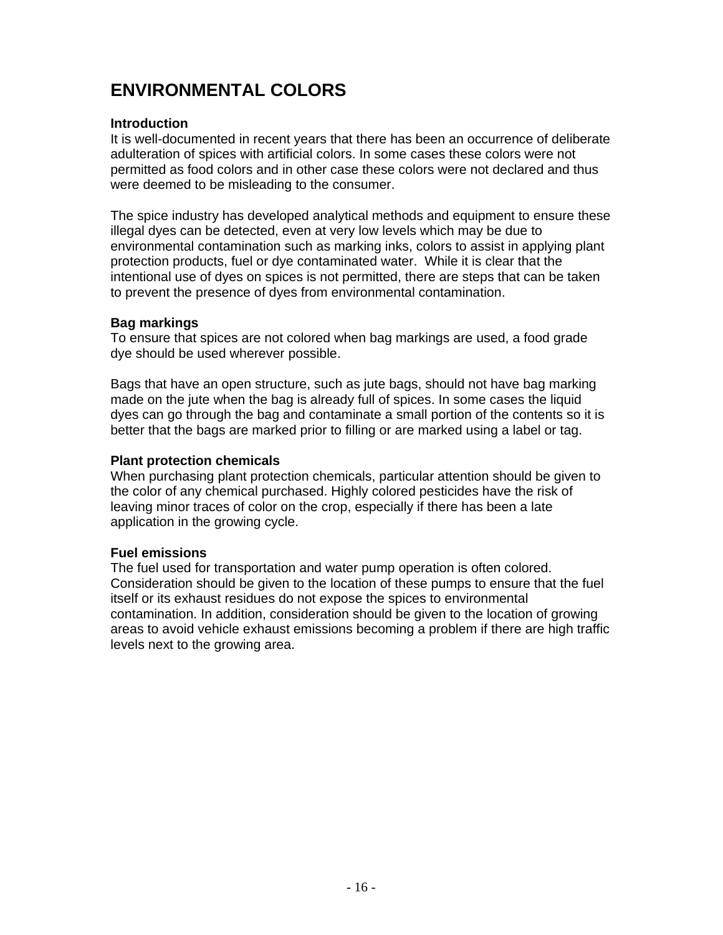# **ENVIRONMENTAL COLORS**

### **Introduction**

It is well-documented in recent years that there has been an occurrence of deliberate adulteration of spices with artificial colors. In some cases these colors were not permitted as food colors and in other case these colors were not declared and thus were deemed to be misleading to the consumer.

The spice industry has developed analytical methods and equipment to ensure these illegal dyes can be detected, even at very low levels which may be due to environmental contamination such as marking inks, colors to assist in applying plant protection products, fuel or dye contaminated water. While it is clear that the intentional use of dyes on spices is not permitted, there are steps that can be taken to prevent the presence of dyes from environmental contamination.

### **Bag markings**

To ensure that spices are not colored when bag markings are used, a food grade dye should be used wherever possible.

Bags that have an open structure, such as jute bags, should not have bag marking made on the jute when the bag is already full of spices. In some cases the liquid dyes can go through the bag and contaminate a small portion of the contents so it is better that the bags are marked prior to filling or are marked using a label or tag.

### **Plant protection chemicals**

When purchasing plant protection chemicals, particular attention should be given to the color of any chemical purchased. Highly colored pesticides have the risk of leaving minor traces of color on the crop, especially if there has been a late application in the growing cycle.

### **Fuel emissions**

The fuel used for transportation and water pump operation is often colored. Consideration should be given to the location of these pumps to ensure that the fuel itself or its exhaust residues do not expose the spices to environmental contamination. In addition, consideration should be given to the location of growing areas to avoid vehicle exhaust emissions becoming a problem if there are high traffic levels next to the growing area.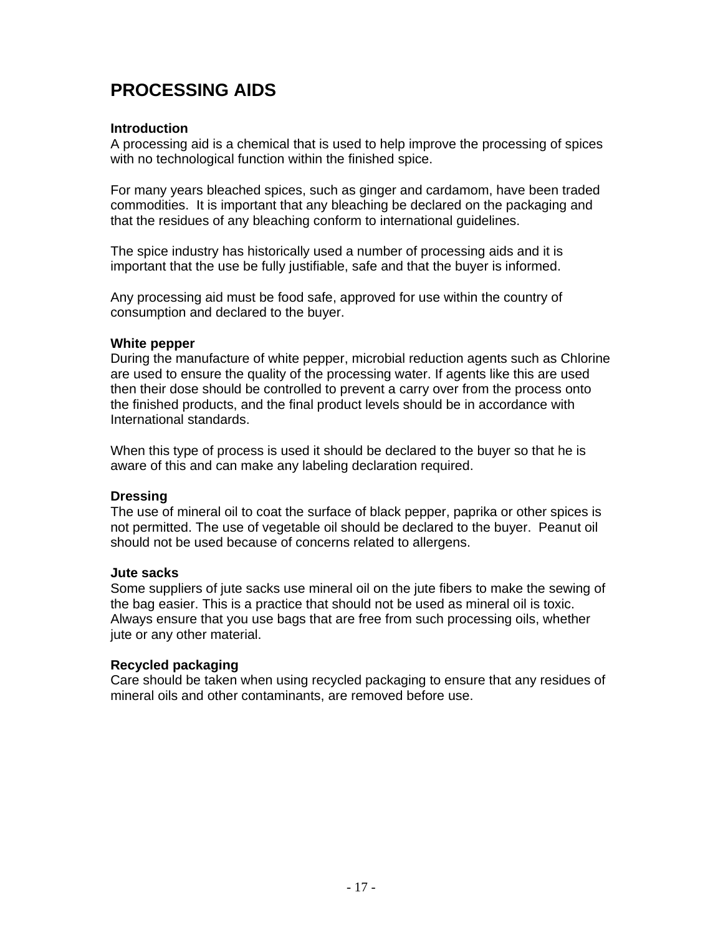# **PROCESSING AIDS**

### **Introduction**

A processing aid is a chemical that is used to help improve the processing of spices with no technological function within the finished spice.

For many years bleached spices, such as ginger and cardamom, have been traded commodities. It is important that any bleaching be declared on the packaging and that the residues of any bleaching conform to international guidelines.

The spice industry has historically used a number of processing aids and it is important that the use be fully justifiable, safe and that the buyer is informed.

Any processing aid must be food safe, approved for use within the country of consumption and declared to the buyer.

### **White pepper**

During the manufacture of white pepper, microbial reduction agents such as Chlorine are used to ensure the quality of the processing water. If agents like this are used then their dose should be controlled to prevent a carry over from the process onto the finished products, and the final product levels should be in accordance with International standards.

When this type of process is used it should be declared to the buyer so that he is aware of this and can make any labeling declaration required.

### **Dressing**

The use of mineral oil to coat the surface of black pepper, paprika or other spices is not permitted. The use of vegetable oil should be declared to the buyer. Peanut oil should not be used because of concerns related to allergens.

### **Jute sacks**

Some suppliers of jute sacks use mineral oil on the jute fibers to make the sewing of the bag easier. This is a practice that should not be used as mineral oil is toxic. Always ensure that you use bags that are free from such processing oils, whether jute or any other material.

### **Recycled packaging**

Care should be taken when using recycled packaging to ensure that any residues of mineral oils and other contaminants, are removed before use.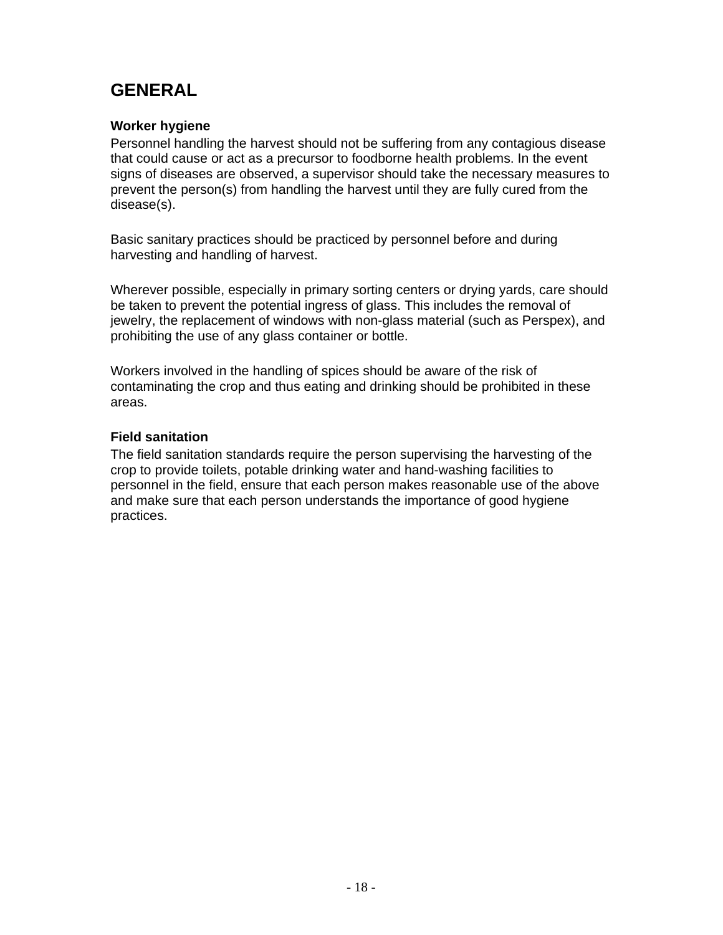## **GENERAL**

### **Worker hygiene**

Personnel handling the harvest should not be suffering from any contagious disease that could cause or act as a precursor to foodborne health problems. In the event signs of diseases are observed, a supervisor should take the necessary measures to prevent the person(s) from handling the harvest until they are fully cured from the disease(s).

Basic sanitary practices should be practiced by personnel before and during harvesting and handling of harvest.

Wherever possible, especially in primary sorting centers or drying yards, care should be taken to prevent the potential ingress of glass. This includes the removal of jewelry, the replacement of windows with non-glass material (such as Perspex), and prohibiting the use of any glass container or bottle.

Workers involved in the handling of spices should be aware of the risk of contaminating the crop and thus eating and drinking should be prohibited in these areas.

### **Field sanitation**

The field sanitation standards require the person supervising the harvesting of the crop to provide toilets, potable drinking water and hand-washing facilities to personnel in the field, ensure that each person makes reasonable use of the above and make sure that each person understands the importance of good hygiene practices.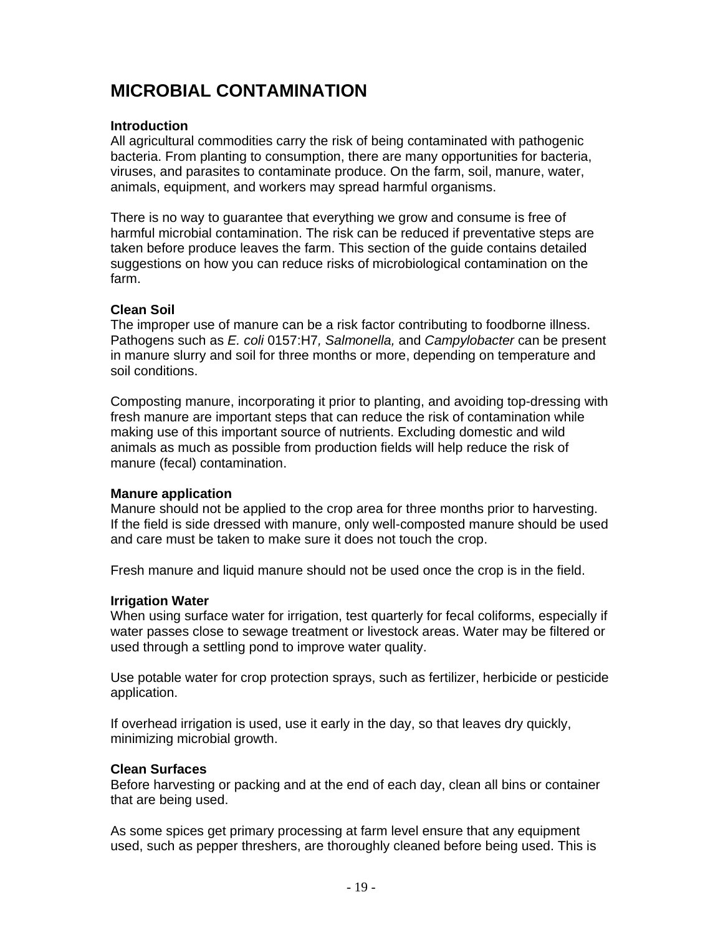# **MICROBIAL CONTAMINATION**

### **Introduction**

All agricultural commodities carry the risk of being contaminated with pathogenic bacteria. From planting to consumption, there are many opportunities for bacteria, viruses, and parasites to contaminate produce. On the farm, soil, manure, water, animals, equipment, and workers may spread harmful organisms.

There is no way to guarantee that everything we grow and consume is free of harmful microbial contamination. The risk can be reduced if preventative steps are taken before produce leaves the farm. This section of the guide contains detailed suggestions on how you can reduce risks of microbiological contamination on the farm.

#### **Clean Soil**

The improper use of manure can be a risk factor contributing to foodborne illness. Pathogens such as *E. coli* 0157:H7*, Salmonella,* and *Campylobacter* can be present in manure slurry and soil for three months or more, depending on temperature and soil conditions.

Composting manure, incorporating it prior to planting, and avoiding top-dressing with fresh manure are important steps that can reduce the risk of contamination while making use of this important source of nutrients. Excluding domestic and wild animals as much as possible from production fields will help reduce the risk of manure (fecal) contamination.

### **Manure application**

Manure should not be applied to the crop area for three months prior to harvesting. If the field is side dressed with manure, only well-composted manure should be used and care must be taken to make sure it does not touch the crop.

Fresh manure and liquid manure should not be used once the crop is in the field.

### **Irrigation Water**

When using surface water for irrigation, test quarterly for fecal coliforms, especially if water passes close to sewage treatment or livestock areas. Water may be filtered or used through a settling pond to improve water quality.

Use potable water for crop protection sprays, such as fertilizer, herbicide or pesticide application.

If overhead irrigation is used, use it early in the day, so that leaves dry quickly, minimizing microbial growth.

### **Clean Surfaces**

Before harvesting or packing and at the end of each day, clean all bins or container that are being used.

As some spices get primary processing at farm level ensure that any equipment used, such as pepper threshers, are thoroughly cleaned before being used. This is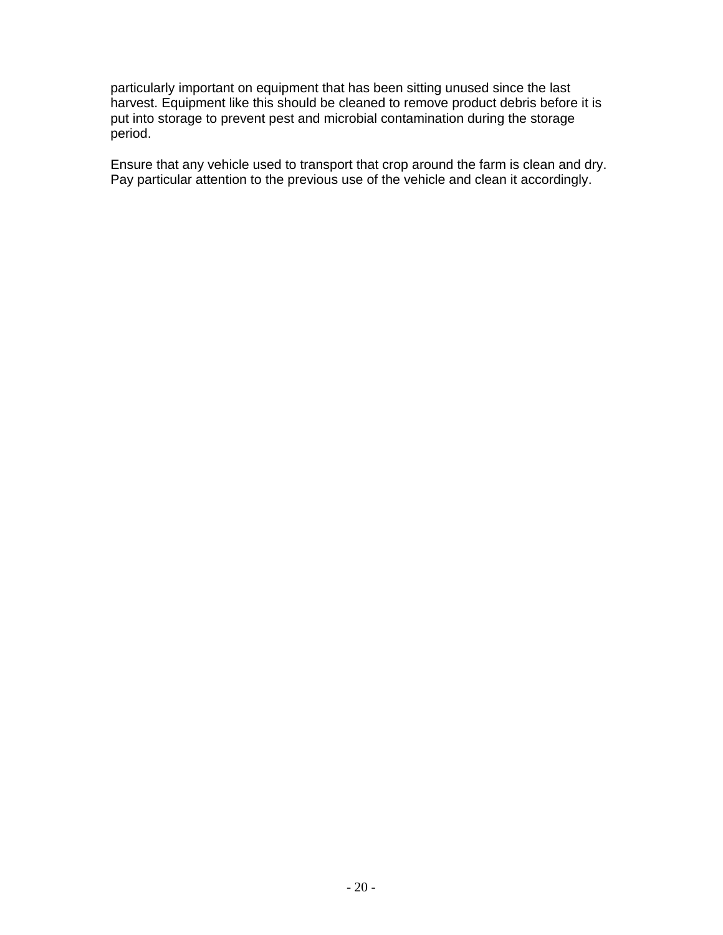particularly important on equipment that has been sitting unused since the last harvest. Equipment like this should be cleaned to remove product debris before it is put into storage to prevent pest and microbial contamination during the storage period.

Ensure that any vehicle used to transport that crop around the farm is clean and dry. Pay particular attention to the previous use of the vehicle and clean it accordingly.